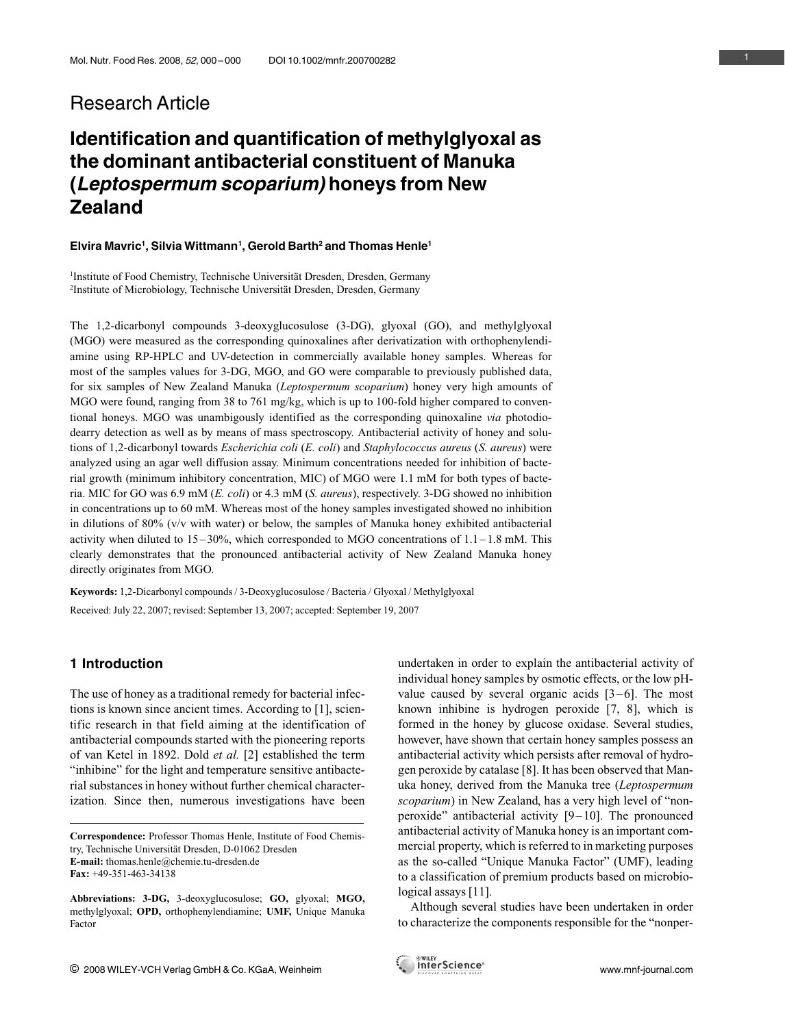# Research Article

# Identification and quantification of methylglyoxal as the dominant antibacterial constituent of Manuka (Leptospermum scoparium) honeys from New Zealand

#### Elvira Mavric<sup>1</sup>, Silvia Wittmann<sup>1</sup>, Gerold Barth<sup>2</sup> and Thomas Henle<sup>1</sup>

<sup>1</sup>Institute of Food Chemistry, Technische Universität Dresden, Dresden, Germany <sup>2</sup>Institute of Microbiology, Technische Universität Dresden, Dresden, Germany

The 1,2-dicarbonyl compounds 3-deoxyglucosulose (3-DG), glyoxal (GO), and methylglyoxal (MGO) were measured as the corresponding quinoxalines after derivatization with orthophenylendiamine using RP-HPLC and UV-detection in commercially available honey samples. Whereas for most of the samples values for 3-DG, MGO, and GO were comparable to previously published data, for six samples of New Zealand Manuka (Leptospermum scoparium) honey very high amounts of MGO were found, ranging from 38 to 761 mg/kg, which is up to 100-fold higher compared to conventional honeys. MGO was unambigously identified as the corresponding quinoxaline via photodiodearry detection as well as by means of mass spectroscopy. Antibacterial activity of honey and solutions of 1,2-dicarbonyl towards *Escherichia coli* (*E. coli*) and *Staphylococcus aureus* (*S. aureus*) were analyzed using an agar well diffusion assay. Minimum concentrations needed for inhibition of bacterial growth (minimum inhibitory concentration, MIC) of MGO were 1.1 mM for both types of bacteria. MIC for GO was 6.9 mM (E. coli) or 4.3 mM (S. aureus), respectively. 3-DG showed no inhibition in concentrations up to 60 mM. Whereas most of the honey samples investigated showed no inhibition in dilutions of 80% (v/v with water) or below, the samples of Manuka honey exhibited antibacterial activity when diluted to  $15-30\%$ , which corresponded to MGO concentrations of  $1.1-1.8$  mM. This clearly demonstrates that the pronounced antibacterial activity of New Zealand Manuka honey directly originates from MGO.

Keywords: 1,2-Dicarbonyl compounds / 3-Deoxyglucosulose / Bacteria / Glyoxal / Methylglyoxal / Received: July 22, 2007; revised: September 13, 2007; accepted: September 19, 2007

# 1 Introduction

The use of honey as a traditional remedy for bacterial infections is known since ancient times. According to [1], scientific research in that field aiming at the identification of antibacterial compounds started with the pioneering reports of van Ketel in 1892. Dold et al. [2] established the term "inhibine" for the light and temperature sensitive antibacterial substances in honey without further chemical characterization. Since then, numerous investigations have been

Correspondence: Professor Thomas Henle, Institute of Food Chemistry, Technische Universität Dresden, D-01062 Dresden E-mail: thomas.henle@chemie.tu-dresden.de Fax: +49-351-463-34138

individual honey samples by osmotic effects, or the low pHvalue caused by several organic acids  $[3-6]$ . The most known inhibine is hydrogen peroxide [7, 8], which is formed in the honey by glucose oxidase. Several studies, however, have shown that certain honey samples possess an antibacterial activity which persists after removal of hydrogen peroxide by catalase [8]. It has been observed that Manuka honey, derived from the Manuka tree (Leptospermum scoparium) in New Zealand, has a very high level of "nonperoxide" antibacterial activity  $[9-10]$ . The pronounced antibacterial activity of Manuka honey is an important commercial property, which is referred to in marketing purposes as the so-called "Unique Manuka Factor" (UMF), leading to a classification of premium products based on microbiological assays [11].

undertaken in order to explain the antibacterial activity of

Although several studies have been undertaken in order to characterize the components responsible for the "nonper-

Abbreviations: 3-DG, 3-deoxyglucosulose; GO, glyoxal; MGO, methylglyoxal; OPD, orthophenylendiamine; UMF, Unique Manuka Factor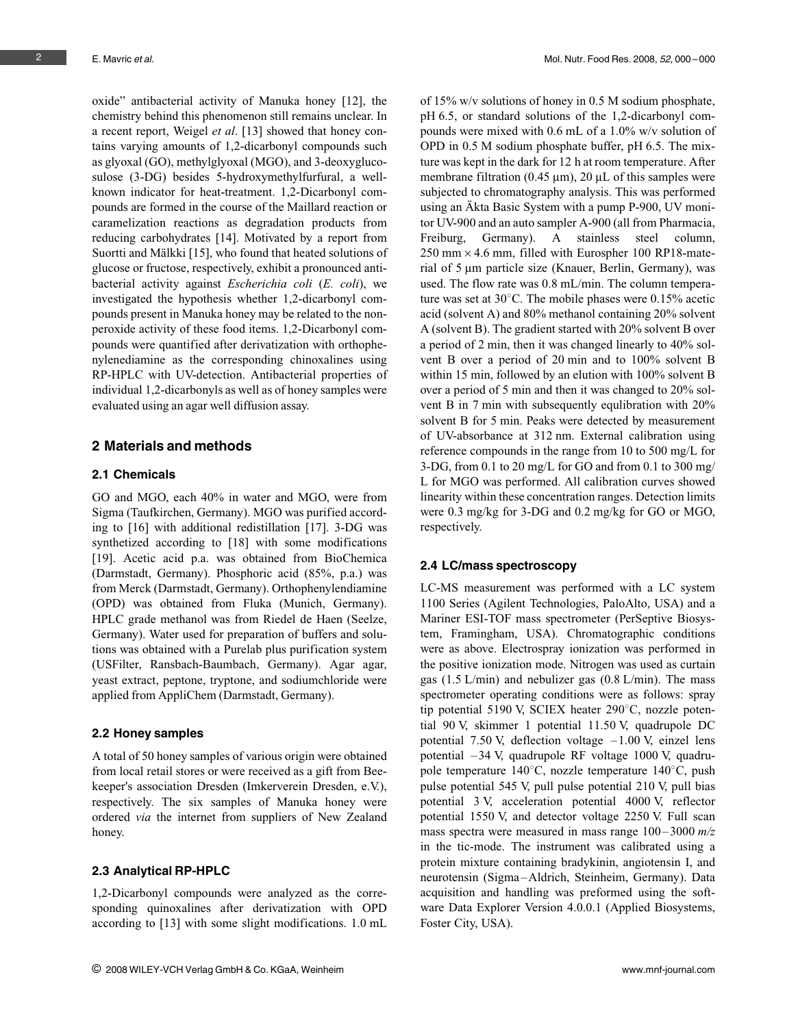oxide" antibacterial activity of Manuka honey [12], the chemistry behind this phenomenon still remains unclear. In a recent report, Weigel et al. [13] showed that honey contains varying amounts of 1,2-dicarbonyl compounds such as glyoxal (GO), methylglyoxal (MGO), and 3-deoxyglucosulose (3-DG) besides 5-hydroxymethylfurfural, a wellknown indicator for heat-treatment. 1,2-Dicarbonyl compounds are formed in the course of the Maillard reaction or caramelization reactions as degradation products from reducing carbohydrates [14]. Motivated by a report from Suortti and Mälkki [15], who found that heated solutions of glucose or fructose, respectively, exhibit a pronounced antibacterial activity against Escherichia coli (E. coli), we investigated the hypothesis whether 1,2-dicarbonyl compounds present in Manuka honey may be related to the nonperoxide activity of these food items. 1,2-Dicarbonyl compounds were quantified after derivatization with orthophenylenediamine as the corresponding chinoxalines using RP-HPLC with UV-detection. Antibacterial properties of individual 1,2-dicarbonyls as well as of honey samples were evaluated using an agar well diffusion assay.

# 2 Materials and methods

#### 2.1 Chemicals

GO and MGO, each 40% in water and MGO, were from Sigma (Taufkirchen, Germany). MGO was purified according to [16] with additional redistillation [17]. 3-DG was synthetized according to [18] with some modifications [19]. Acetic acid p.a. was obtained from BioChemica (Darmstadt, Germany). Phosphoric acid (85%, p.a.) was from Merck (Darmstadt, Germany). Orthophenylendiamine (OPD) was obtained from Fluka (Munich, Germany). HPLC grade methanol was from Riedel de Haen (Seelze, Germany). Water used for preparation of buffers and solutions was obtained with a Purelab plus purification system (USFilter, Ransbach-Baumbach, Germany). Agar agar, yeast extract, peptone, tryptone, and sodiumchloride were applied from AppliChem (Darmstadt, Germany).

#### 2.2 Honey samples

A total of 50 honey samples of various origin were obtained from local retail stores or were received as a gift from Beekeeper's association Dresden (Imkerverein Dresden, e.V.), respectively. The six samples of Manuka honey were ordered via the internet from suppliers of New Zealand honey.

#### 2.3 Analytical RP-HPLC

1,2-Dicarbonyl compounds were analyzed as the corresponding quinoxalines after derivatization with OPD according to [13] with some slight modifications. 1.0 mL

of 15% w/v solutions of honey in 0.5 M sodium phosphate, pH 6.5, or standard solutions of the 1,2-dicarbonyl compounds were mixed with 0.6 mL of a 1.0% w/v solution of OPD in 0.5 M sodium phosphate buffer, pH 6.5. The mixture was kept in the dark for 12 h at room temperature. After membrane filtration (0.45  $\mu$ m), 20  $\mu$ L of this samples were subjected to chromatography analysis. This was performed using an Äkta Basic System with a pump P-900, UV monitor UV-900 and an auto sampler A-900 (all from Pharmacia, Freiburg, Germany). A stainless steel column,  $250$  mm  $\times$  4.6 mm, filled with Eurospher 100 RP18-material of 5 µm particle size (Knauer, Berlin, Germany), was used. The flow rate was 0.8 mL/min. The column temperature was set at  $30^{\circ}$ C. The mobile phases were 0.15% acetic acid (solvent A) and 80% methanol containing 20% solvent A (solvent B). The gradient started with 20% solvent B over a period of 2 min, then it was changed linearly to 40% solvent B over a period of 20 min and to 100% solvent B within 15 min, followed by an elution with 100% solvent B over a period of 5 min and then it was changed to 20% solvent B in 7 min with subsequently equlibration with 20% solvent B for 5 min. Peaks were detected by measurement of UV-absorbance at 312 nm. External calibration using reference compounds in the range from 10 to 500 mg/L for 3-DG, from 0.1 to 20 mg/L for GO and from 0.1 to 300 mg/ L for MGO was performed. All calibration curves showed linearity within these concentration ranges. Detection limits were 0.3 mg/kg for 3-DG and 0.2 mg/kg for GO or MGO, respectively.

#### 2.4 LC/mass spectroscopy

LC-MS measurement was performed with a LC system 1100 Series (Agilent Technologies, PaloAlto, USA) and a Mariner ESI-TOF mass spectrometer (PerSeptive Biosystem, Framingham, USA). Chromatographic conditions were as above. Electrospray ionization was performed in the positive ionization mode. Nitrogen was used as curtain gas (1.5 L/min) and nebulizer gas (0.8 L/min). The mass spectrometer operating conditions were as follows: spray tip potential 5190 V, SCIEX heater  $290^{\circ}$ C, nozzle potential 90 V, skimmer 1 potential 11.50 V, quadrupole DC potential 7.50 V, deflection voltage  $-1.00$  V, einzel lens potential – 34 V, quadrupole RF voltage 1000 V, quadrupole temperature  $140^{\circ}$ C, nozzle temperature  $140^{\circ}$ C, push pulse potential 545 V, pull pulse potential 210 V, pull bias potential 3 V, acceleration potential 4000 V, reflector potential 1550 V, and detector voltage 2250 V. Full scan mass spectra were measured in mass range  $100 - 3000$   $m/z$ in the tic-mode. The instrument was calibrated using a protein mixture containing bradykinin, angiotensin I, and neurotensin (Sigma –Aldrich, Steinheim, Germany). Data acquisition and handling was preformed using the software Data Explorer Version 4.0.0.1 (Applied Biosystems, Foster City, USA).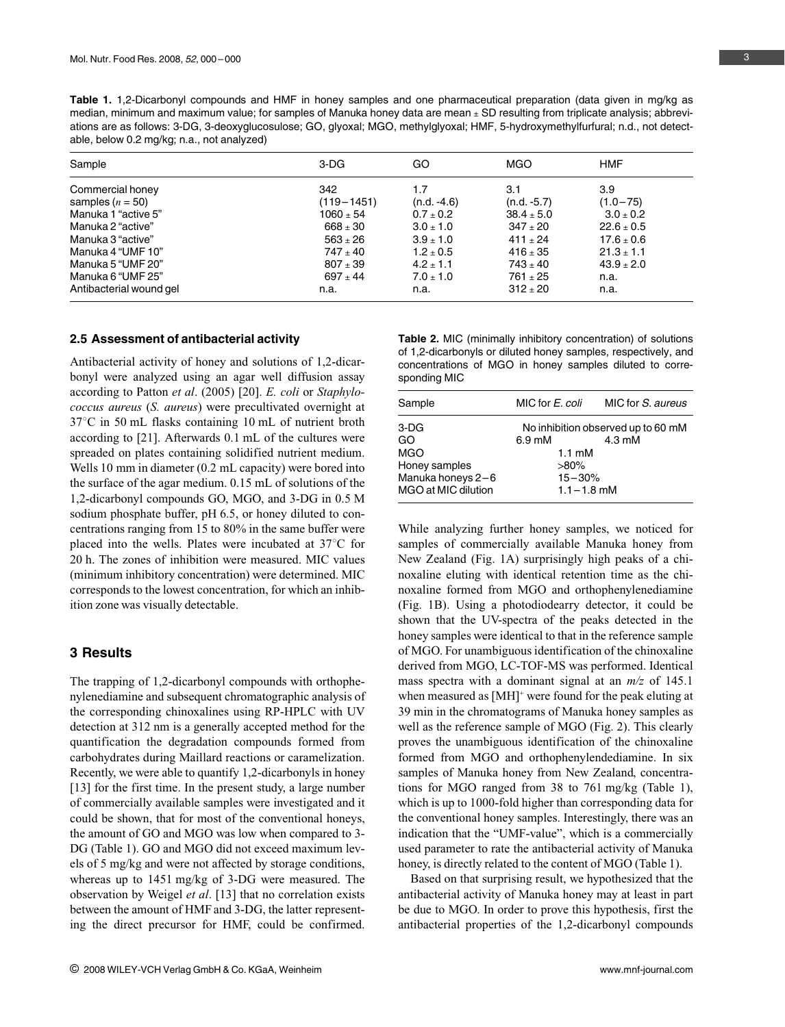Table 1. 1,2-Dicarbonyl compounds and HMF in honey samples and one pharmaceutical preparation (data given in mg/kg as median, minimum and maximum value; for samples of Manuka honey data are mean  $\pm$  SD resulting from triplicate analysis; abbreviations are as follows: 3-DG, 3-deoxyglucosulose; GO, glyoxal; MGO, methylglyoxal; HMF, 5-hydroxymethylfurfural; n.d., not detectable, below 0.2 mg/kg; n.a., not analyzed)

| Sample                  | 3-DG           | GO            | <b>MGO</b>     | HMF            |
|-------------------------|----------------|---------------|----------------|----------------|
| Commercial honey        | 342            | 1.7           | 3.1            | 3.9            |
| samples $(n = 50)$      | $(119 - 1451)$ | $(n.d. -4.6)$ | $(n.d. -5.7)$  | $(1.0 - 75)$   |
| Manuka 1 "active 5"     | $1060 \pm 54$  | $0.7 \pm 0.2$ | $38.4 \pm 5.0$ | $3.0 \pm 0.2$  |
| Manuka 2 "active"       | $668 \pm 30$   | $3.0 \pm 1.0$ | $347 + 20$     | $22.6 \pm 0.5$ |
| Manuka 3 "active"       | $563 \pm 26$   | $3.9 \pm 1.0$ | $411 \pm 24$   | $17.6 \pm 0.6$ |
| Manuka 4 "UMF 10"       | $747 \pm 40$   | $1.2 \pm 0.5$ | $416 \pm 35$   | $21.3 \pm 1.1$ |
| Manuka 5 "UMF 20"       | $807 + 39$     | $4.2 \pm 1.1$ | $743 \pm 40$   | $43.9 \pm 2.0$ |
| Manuka 6 "UMF 25"       | $697 + 44$     | $7.0 \pm 1.0$ | $761 + 25$     | n.a.           |
| Antibacterial wound gel | n.a.           | n.a.          | $312 + 20$     | n.a.           |

#### 2.5 Assessment of antibacterial activity

Antibacterial activity of honey and solutions of 1,2-dicarbonyl were analyzed using an agar well diffusion assay according to Patton et al. (2005) [20]. E. coli or Staphylococcus aureus (S. aureus) were precultivated overnight at  $37^{\circ}$ C in 50 mL flasks containing 10 mL of nutrient broth according to [21]. Afterwards 0.1 mL of the cultures were spreaded on plates containing solidified nutrient medium. Wells 10 mm in diameter (0.2 mL capacity) were bored into the surface of the agar medium. 0.15 mL of solutions of the 1,2-dicarbonyl compounds GO, MGO, and 3-DG in 0.5 M sodium phosphate buffer, pH 6.5, or honey diluted to concentrations ranging from 15 to 80% in the same buffer were placed into the wells. Plates were incubated at  $37^{\circ}$ C for 20 h. The zones of inhibition were measured. MIC values (minimum inhibitory concentration) were determined. MIC corresponds to the lowest concentration, for which an inhibition zone was visually detectable.

## 3 Results

The trapping of 1,2-dicarbonyl compounds with orthophenylenediamine and subsequent chromatographic analysis of the corresponding chinoxalines using RP-HPLC with UV detection at 312 nm is a generally accepted method for the quantification the degradation compounds formed from carbohydrates during Maillard reactions or caramelization. Recently, we were able to quantify 1,2-dicarbonyls in honey [13] for the first time. In the present study, a large number of commercially available samples were investigated and it could be shown, that for most of the conventional honeys, the amount of GO and MGO was low when compared to 3- DG (Table 1). GO and MGO did not exceed maximum levels of 5 mg/kg and were not affected by storage conditions, whereas up to 1451 mg/kg of 3-DG were measured. The observation by Weigel et al. [13] that no correlation exists between the amount of HMF and 3-DG, the latter representing the direct precursor for HMF, could be confirmed. Table 2. MIC (minimally inhibitory concentration) of solutions of 1,2-dicarbonyls or diluted honey samples, respectively, and concentrations of MGO in honey samples diluted to corresponding MIC

| Sample              | MIC for E. coli                    | MIC for S. aureus |  |
|---------------------|------------------------------------|-------------------|--|
| 3-DG                | No inhibition observed up to 60 mM |                   |  |
| GO                  | $6.9 \text{ mM}$                   | $4.3 \text{ mM}$  |  |
| <b>MGO</b>          | $1.1 \text{ }\mathrm{mM}$          |                   |  |
| Honey samples       | $>80\%$                            |                   |  |
| Manuka honeys 2-6   | $15 - 30%$                         |                   |  |
| MGO at MIC dilution | $1.1 - 1.8$ mM                     |                   |  |

While analyzing further honey samples, we noticed for samples of commercially available Manuka honey from New Zealand (Fig. 1A) surprisingly high peaks of a chinoxaline eluting with identical retention time as the chinoxaline formed from MGO and orthophenylenediamine (Fig. 1B). Using a photodiodearry detector, it could be shown that the UV-spectra of the peaks detected in the honey samples were identical to that in the reference sample of MGO. For unambiguous identification of the chinoxaline derived from MGO, LC-TOF-MS was performed. Identical mass spectra with a dominant signal at an  $m/z$  of 145.1 when measured as [MH]<sup>+</sup> were found for the peak eluting at 39 min in the chromatograms of Manuka honey samples as well as the reference sample of MGO (Fig. 2). This clearly proves the unambiguous identification of the chinoxaline formed from MGO and orthophenylendediamine. In six samples of Manuka honey from New Zealand, concentrations for MGO ranged from 38 to 761 mg/kg (Table 1), which is up to 1000-fold higher than corresponding data for the conventional honey samples. Interestingly, there was an indication that the "UMF-value", which is a commercially used parameter to rate the antibacterial activity of Manuka honey, is directly related to the content of MGO (Table 1).

Based on that surprising result, we hypothesized that the antibacterial activity of Manuka honey may at least in part be due to MGO. In order to prove this hypothesis, first the antibacterial properties of the 1,2-dicarbonyl compounds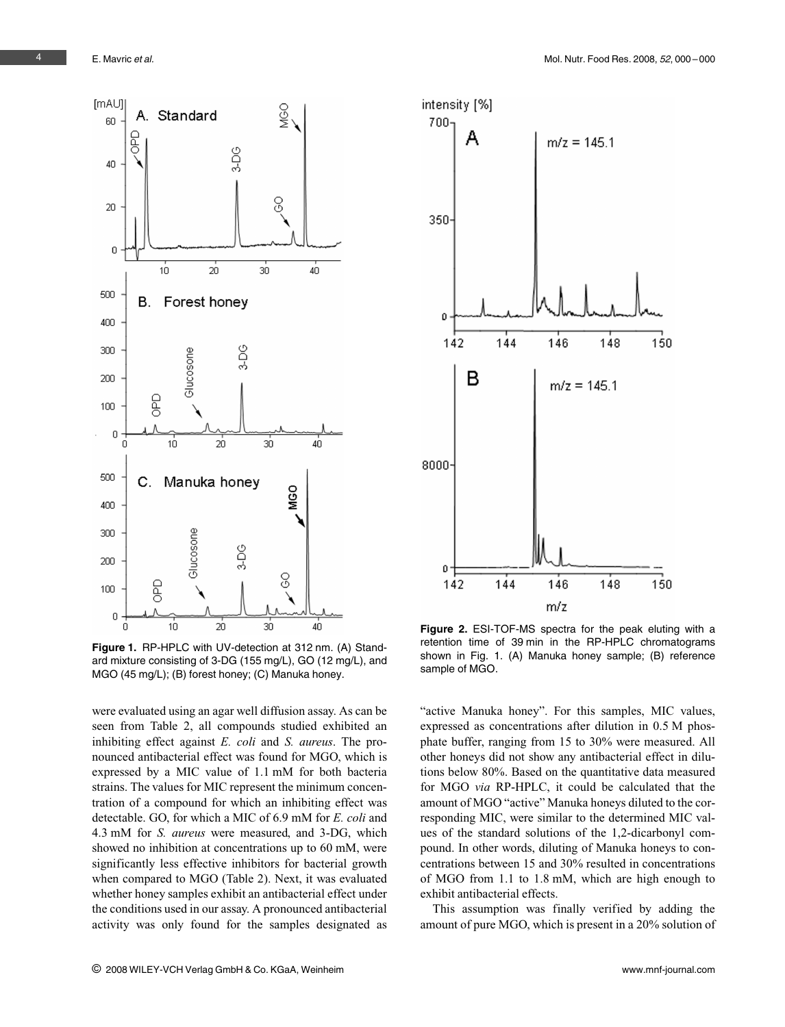

Figure 1. RP-HPLC with UV-detection at 312 nm. (A) Standard mixture consisting of 3-DG (155 mg/L), GO (12 mg/L), and MGO (45 mg/L); (B) forest honey; (C) Manuka honey.

were evaluated using an agar well diffusion assay. As can be seen from Table 2, all compounds studied exhibited an inhibiting effect against *E. coli* and *S. aureus*. The pronounced antibacterial effect was found for MGO, which is expressed by a MIC value of 1.1 mM for both bacteria strains. The values for MIC represent the minimum concentration of a compound for which an inhibiting effect was detectable. GO, for which a MIC of 6.9 mM for E. coli and 4.3 mM for S. aureus were measured, and 3-DG, which showed no inhibition at concentrations up to 60 mM, were significantly less effective inhibitors for bacterial growth when compared to MGO (Table 2). Next, it was evaluated whether honey samples exhibit an antibacterial effect under the conditions used in our assay. A pronounced antibacterial activity was only found for the samples designated as



Figure 2. ESI-TOF-MS spectra for the peak eluting with a retention time of 39 min in the RP-HPLC chromatograms shown in Fig. 1. (A) Manuka honey sample; (B) reference sample of MGO.

"active Manuka honey". For this samples, MIC values, expressed as concentrations after dilution in 0.5 M phosphate buffer, ranging from 15 to 30% were measured. All other honeys did not show any antibacterial effect in dilutions below 80%. Based on the quantitative data measured for MGO via RP-HPLC, it could be calculated that the amount of MGO "active" Manuka honeys diluted to the corresponding MIC, were similar to the determined MIC values of the standard solutions of the 1,2-dicarbonyl compound. In other words, diluting of Manuka honeys to concentrations between 15 and 30% resulted in concentrations of MGO from 1.1 to 1.8 mM, which are high enough to exhibit antibacterial effects.

This assumption was finally verified by adding the amount of pure MGO, which is present in a 20% solution of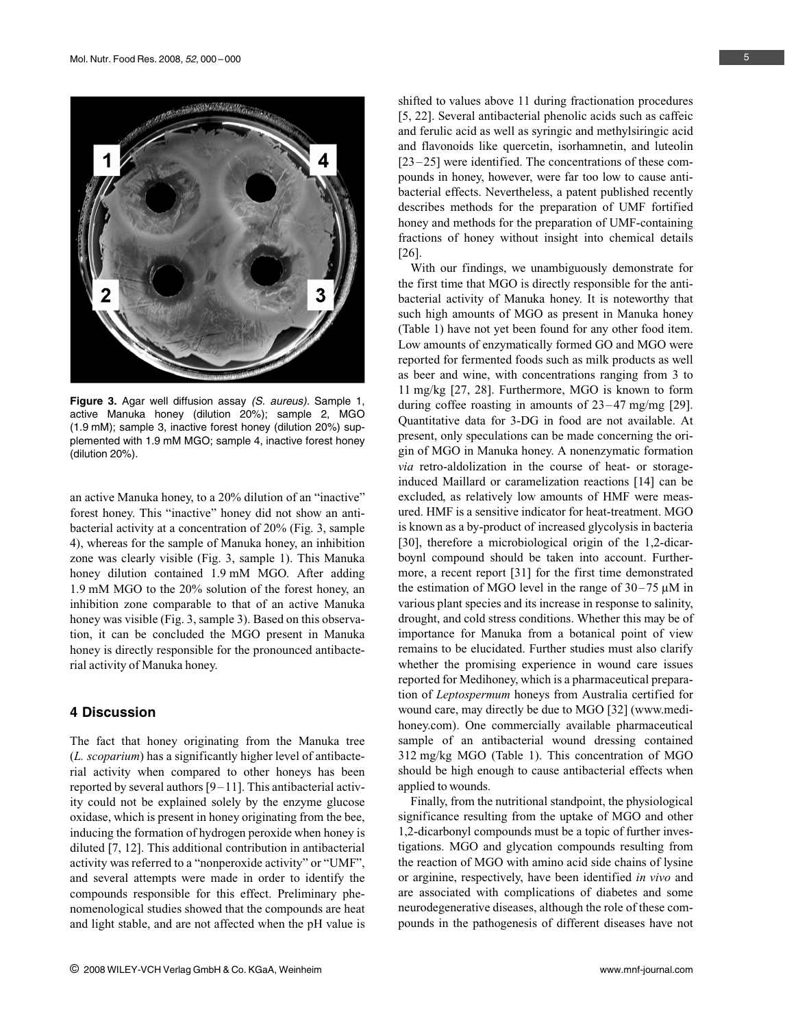

Figure 3. Agar well diffusion assay (S. aureus). Sample 1, active Manuka honey (dilution 20%); sample 2, MGO (1.9 mM); sample 3, inactive forest honey (dilution 20%) supplemented with 1.9 mM MGO; sample 4, inactive forest honey (dilution 20%).

an active Manuka honey, to a 20% dilution of an "inactive" forest honey. This "inactive" honey did not show an antibacterial activity at a concentration of 20% (Fig. 3, sample 4), whereas for the sample of Manuka honey, an inhibition zone was clearly visible (Fig. 3, sample 1). This Manuka honey dilution contained 1.9 mM MGO. After adding 1.9 mM MGO to the 20% solution of the forest honey, an inhibition zone comparable to that of an active Manuka honey was visible (Fig. 3, sample 3). Based on this observation, it can be concluded the MGO present in Manuka honey is directly responsible for the pronounced antibacterial activity of Manuka honey.

### 4 Discussion

The fact that honey originating from the Manuka tree (L. scoparium) has a significantly higher level of antibacterial activity when compared to other honeys has been reported by several authors  $[9-11]$ . This antibacterial activity could not be explained solely by the enzyme glucose oxidase, which is present in honey originating from the bee, inducing the formation of hydrogen peroxide when honey is diluted [7, 12]. This additional contribution in antibacterial activity was referred to a "nonperoxide activity" or "UMF", and several attempts were made in order to identify the compounds responsible for this effect. Preliminary phenomenological studies showed that the compounds are heat and light stable, and are not affected when the pH value is shifted to values above 11 during fractionation procedures [5, 22]. Several antibacterial phenolic acids such as caffeic and ferulic acid as well as syringic and methylsiringic acid and flavonoids like quercetin, isorhamnetin, and luteolin [23-25] were identified. The concentrations of these compounds in honey, however, were far too low to cause antibacterial effects. Nevertheless, a patent published recently describes methods for the preparation of UMF fortified honey and methods for the preparation of UMF-containing fractions of honey without insight into chemical details [26].

With our findings, we unambiguously demonstrate for the first time that MGO is directly responsible for the antibacterial activity of Manuka honey. It is noteworthy that such high amounts of MGO as present in Manuka honey (Table 1) have not yet been found for any other food item. Low amounts of enzymatically formed GO and MGO were reported for fermented foods such as milk products as well as beer and wine, with concentrations ranging from 3 to 11 mg/kg [27, 28]. Furthermore, MGO is known to form during coffee roasting in amounts of  $23-47$  mg/mg [29]. Quantitative data for 3-DG in food are not available. At present, only speculations can be made concerning the origin of MGO in Manuka honey. A nonenzymatic formation via retro-aldolization in the course of heat- or storageinduced Maillard or caramelization reactions [14] can be excluded, as relatively low amounts of HMF were measured. HMF is a sensitive indicator for heat-treatment. MGO is known as a by-product of increased glycolysis in bacteria [30], therefore a microbiological origin of the 1,2-dicarboynl compound should be taken into account. Furthermore, a recent report [31] for the first time demonstrated the estimation of MGO level in the range of  $30-75 \mu M$  in various plant species and its increase in response to salinity, drought, and cold stress conditions. Whether this may be of importance for Manuka from a botanical point of view remains to be elucidated. Further studies must also clarify whether the promising experience in wound care issues reported for Medihoney, which is a pharmaceutical preparation of Leptospermum honeys from Australia certified for wound care, may directly be due to MGO [32] (www.medihoney.com). One commercially available pharmaceutical sample of an antibacterial wound dressing contained 312 mg/kg MGO (Table 1). This concentration of MGO should be high enough to cause antibacterial effects when applied to wounds.

Finally, from the nutritional standpoint, the physiological significance resulting from the uptake of MGO and other 1,2-dicarbonyl compounds must be a topic of further investigations. MGO and glycation compounds resulting from the reaction of MGO with amino acid side chains of lysine or arginine, respectively, have been identified in vivo and are associated with complications of diabetes and some neurodegenerative diseases, although the role of these compounds in the pathogenesis of different diseases have not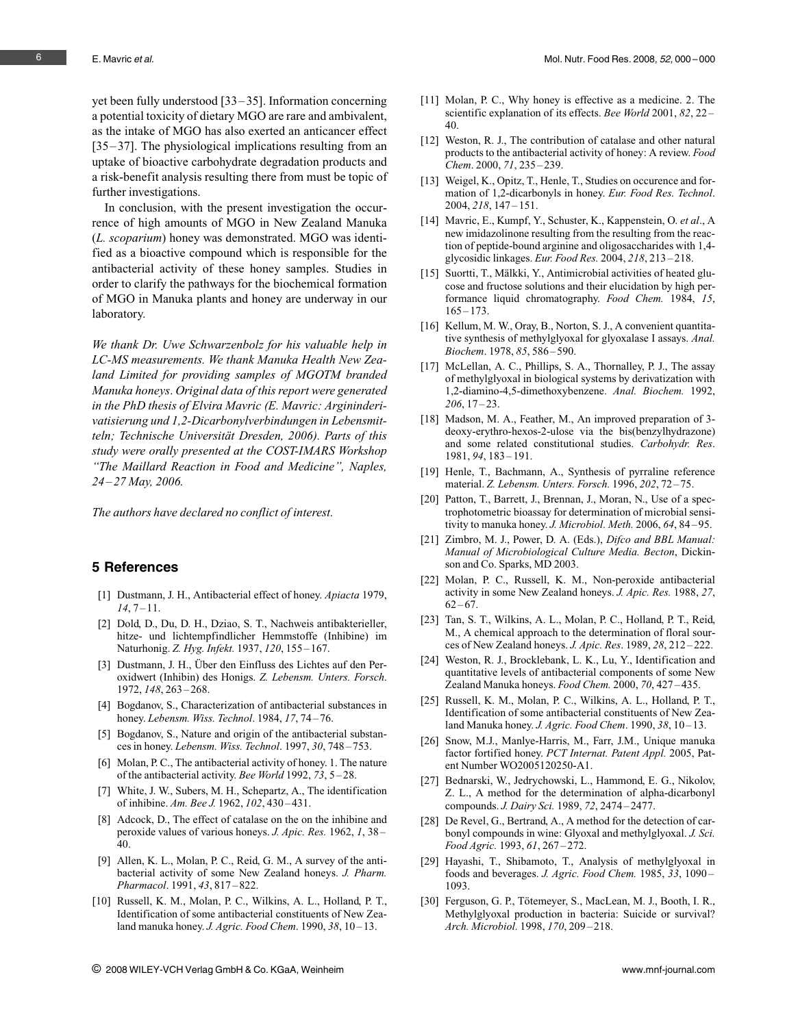yet been fully understood [33 – 35]. Information concerning a potential toxicity of dietary MGO are rare and ambivalent, as the intake of MGO has also exerted an anticancer effect [35–37]. The physiological implications resulting from an uptake of bioactive carbohydrate degradation products and a risk-benefit analysis resulting there from must be topic of further investigations.

In conclusion, with the present investigation the occurrence of high amounts of MGO in New Zealand Manuka (L. scoparium) honey was demonstrated. MGO was identified as a bioactive compound which is responsible for the antibacterial activity of these honey samples. Studies in order to clarify the pathways for the biochemical formation of MGO in Manuka plants and honey are underway in our laboratory.

We thank Dr. Uwe Schwarzenbolz for his valuable help in LC-MS measurements. We thank Manuka Health New Zealand Limited for providing samples of MGOTM branded Manuka honeys. Original data of this report were generated in the PhD thesis of Elvira Mavric (E. Mavric: Argininderivatisierung und 1,2-Dicarbonylverbindungen in Lebensmitteln; Technische Universität Dresden, 2006). Parts of this study were orally presented at the COST-IMARS Workshop "The Maillard Reaction in Food and Medicine", Naples,  $24 - 27$  May, 2006.

The authors have declared no conflict of interest.

#### 5 References

- [1] Dustmann, J. H., Antibacterial effect of honey. Apiacta 1979,  $14, 7 - 11.$
- [2] Dold, D., Du, D. H., Dziao, S. T., Nachweis antibakterieller, hitze- und lichtempfindlicher Hemmstoffe (Inhibine) im Naturhonig. Z. Hyg. Infekt. 1937, 120, 155-167.
- [3] Dustmann, J. H., Über den Einfluss des Lichtes auf den Peroxidwert (Inhibin) des Honigs. Z. Lebensm. Unters. Forsch. 1972, 148, 263 – 268.
- [4] Bogdanov, S., Characterization of antibacterial substances in honey. Lebensm. Wiss. Technol. 1984, 17, 74-76.
- [5] Bogdanov, S., Nature and origin of the antibacterial substances in honey. Lebensm. Wiss. Technol. 1997, 30, 748-753.
- [6] Molan, P. C., The antibacterial activity of honey. 1. The nature of the antibacterial activity. Bee World 1992, 73, 5 – 28.
- [7] White, J. W., Subers, M. H., Schepartz, A., The identification of inhibine. Am. Bee J. 1962, 102, 430 – 431.
- [8] Adcock, D., The effect of catalase on the on the inhibine and peroxide values of various honeys. J. Apic. Res. 1962, 1, 38 – 40.
- [9] Allen, K. L., Molan, P. C., Reid, G. M., A survey of the antibacterial activity of some New Zealand honeys. J. Pharm. Pharmacol. 1991, 43, 817-822.
- [10] Russell, K. M., Molan, P. C., Wilkins, A. L., Holland, P. T., Identification of some antibacterial constituents of New Zealand manuka honey. *J. Agric. Food Chem.* 1990, 38, 10 – 13.
- [11] Molan, P. C., Why honey is effective as a medicine. 2. The scientific explanation of its effects. Bee World 2001, 82, 22-40.
- [12] Weston, R. J., The contribution of catalase and other natural products to the antibacterial activity of honey: A review. Food Chem. 2000, 71, 235 – 239.
- [13] Weigel, K., Opitz, T., Henle, T., Studies on occurence and formation of 1,2-dicarbonyls in honey. Eur. Food Res. Technol. 2004, 218, 147 – 151.
- [14] Mavric, E., Kumpf, Y., Schuster, K., Kappenstein, O. et al., A new imidazolinone resulting from the resulting from the reaction of peptide-bound arginine and oligosaccharides with 1,4 glycosidic linkages. Eur. Food Res. 2004, 218, 213 – 218.
- [15] Suortti, T., Mälkki, Y., Antimicrobial activities of heated glucose and fructose solutions and their elucidation by high performance liquid chromatography. Food Chem. 1984, 15,  $165 - 173.$
- [16] Kellum, M. W., Oray, B., Norton, S. J., A convenient quantitative synthesis of methylglyoxal for glyoxalase I assays. Anal. Biochem. 1978, 85, 586 – 590.
- [17] McLellan, A. C., Phillips, S. A., Thornalley, P. J., The assay of methylglyoxal in biological systems by derivatization with 1,2-diamino-4,5-dimethoxybenzene. Anal. Biochem. 1992,  $206, 17 - 23.$
- [18] Madson, M. A., Feather, M., An improved preparation of 3 deoxy-erythro-hexos-2-ulose via the bis(benzylhydrazone) and some related constitutional studies. Carbohydr. Res. 1981, 94, 183 – 191.
- [19] Henle, T., Bachmann, A., Synthesis of pyrraline reference material. Z. Lebensm. Unters. Forsch. 1996, 202, 72 – 75.
- [20] Patton, T., Barrett, J., Brennan, J., Moran, N., Use of a spectrophotometric bioassay for determination of microbial sensitivity to manuka honey. J. Microbiol. Meth. 2006, 64, 84 – 95.
- [21] Zimbro, M. J., Power, D. A. (Eds.), Difco and BBL Manual: Manual of Microbiological Culture Media. Becton, Dickinson and Co. Sparks, MD 2003.
- [22] Molan, P. C., Russell, K. M., Non-peroxide antibacterial activity in some New Zealand honeys. J. Apic. Res. 1988, 27,  $62 - 67.$
- [23] Tan, S. T., Wilkins, A. L., Molan, P. C., Holland, P. T., Reid, M., A chemical approach to the determination of floral sources of New Zealand honeys. J. Apic. Res. 1989, 28, 212 – 222.
- [24] Weston, R. J., Brocklebank, L. K., Lu, Y., Identification and quantitative levels of antibacterial components of some New Zealand Manuka honeys. Food Chem. 2000, 70, 427-435.
- [25] Russell, K. M., Molan, P. C., Wilkins, A. L., Holland, P. T., Identification of some antibacterial constituents of New Zealand Manuka honey. J. Agric. Food Chem. 1990, 38, 10-13.
- [26] Snow, M.J., Manlye-Harris, M., Farr, J.M., Unique manuka factor fortified honey. PCT Internat. Patent Appl. 2005, Patent Number WO2005120250-A1.
- [27] Bednarski, W., Jedrychowski, L., Hammond, E. G., Nikolov, Z. L., A method for the determination of alpha-dicarbonyl compounds. J. Dairy Sci. 1989, 72, 2474 – 2477.
- [28] De Revel, G., Bertrand, A., A method for the detection of carbonyl compounds in wine: Glyoxal and methylglyoxal. J. Sci. Food Agric. 1993, 61, 267 – 272.
- [29] Hayashi, T., Shibamoto, T., Analysis of methylglyoxal in foods and beverages. J. Agric. Food Chem. 1985, 33, 1090-1093.
- [30] Ferguson, G. P., Tötemeyer, S., MacLean, M. J., Booth, I. R., Methylglyoxal production in bacteria: Suicide or survival? Arch. Microbiol. 1998, 170, 209 – 218.